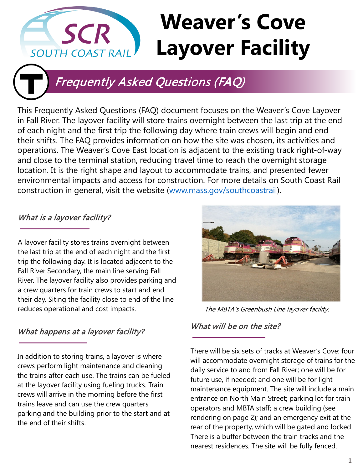# **Weaver's Cove SCR Layover Facility SOUTH COAST RAIL**



# Frequently Asked Questions (FAQ)

This Frequently Asked Questions (FAQ) document focuses on the Weaver's Cove Layover in Fall River. The layover facility will store trains overnight between the last trip at the end of each night and the first trip the following day where train crews will begin and end their shifts. The FAQ provides information on how the site was chosen, its activities and operations. The Weaver's Cove East location is adjacent to the existing track right-of-way and close to the terminal station, reducing travel time to reach the overnight storage location. It is the right shape and layout to accommodate trains, and presented fewer environmental impacts and access for construction. For more details on South Coast Rail construction in general, visit the website ([www.mass.gov/southcoastrail](http://www.mass.gov/southcoastrail)).

## What is a layover facility?

A layover facility stores trains overnight between the last trip at the end of each night and the first trip the following day. It is located adjacent to the Fall River Secondary, the main line serving Fall River. The layover facility also provides parking and a crew quarters for train crews to start and end their day. Siting the facility close to end of the line reduces operational and cost impacts.

### What happens at a layover facility?

In addition to storing trains, a layover is where crews perform light maintenance and cleaning the trains after each use. The trains can be fueled at the layover facility using fueling trucks. Train crews will arrive in the morning before the first trains leave and can use the crew quarters parking and the building prior to the start and at the end of their shifts.



The MBTA's Greenbush Line layover facility.

### What will be on the site?

There will be six sets of tracks at Weaver's Cove: four will accommodate overnight storage of trains for the daily service to and from Fall River; one will be for future use, if needed; and one will be for light maintenance equipment. The site will include a main entrance on North Main Street; parking lot for train operators and MBTA staff; a crew building (see rendering on page 2); and an emergency exit at the rear of the property, which will be gated and locked. There is a buffer between the train tracks and the nearest residences. The site will be fully fenced.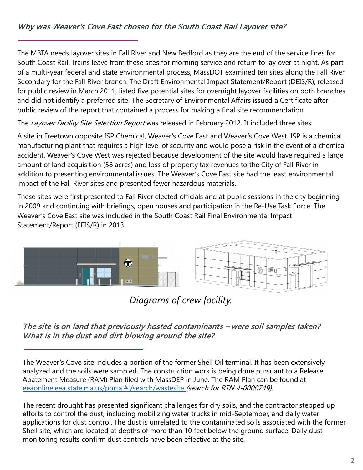### Why was Weaver's Cove East chosen for the South Coast Rail Layover site?

The MBTA needs layover sites in Fall River and New Bedford as they are the end of the service lines for South Coast Rail. Trains leave from these sites for morning service and return to lay over at night. As part of a multi-year federal and state environmental process, MassDOT examined ten sites along the Fall River Secondary for the Fall River branch. The Draft Environmental Impact Statement/Report (DEIS/R), released for public review in March 2011, listed five potential sites for overnight layover facilities on both branches and did not identify a preferred site. The Secretary of Environmental Affairs issued a Certificate after public review of the report that contained a process for making a final site recommendation.

The Layover Facility Site Selection Report was released in February 2012. It included three sites:

A site in Freetown opposite ISP Chemical, Weaver's Cove East and Weaver's Cove West. ISP is a chemical manufacturing plant that requires a high level of security and would pose a risk in the event of a chemical accident. Weaver's Cove West was rejected because development of the site would have required a large amount of land acquisition (58 acres) and loss of property tax revenues to the City of Fall River in addition to presenting environmental issues. The Weaver's Cove East site had the least environmental impact of the Fall River sites and presented fewer hazardous materials.

These sites were first presented to Fall River elected officials and at public sessions in the city beginning in 2009 and continuing with briefings, open houses and participation in the Re-Use Task Force. The Weaver's Cove East site was included in the South Coast Rail Final Environmental Impact Statement/Report (FEIS/R) in 2013.



*Diagrams of crew facility.*

The site is on land that previously hosted contaminants – were soil samples taken? What is in the dust and dirt blowing around the site?

The Weaver's Cove site includes a portion of the former Shell Oil terminal. It has been extensively analyzed and the soils were sampled. The construction work is being done pursuant to a Release Abatement Measure (RAM) Plan filed with MassDEP in June. The RAM Plan can be found at [eeaonline.eea.state.ma.us/portal#!/search/wastesite](https://eeaonline.eea.state.ma.us/portal#!/search/wastesite) (search for RTN 4-0000749).

The recent drought has presented significant challenges for dry soils, and the contractor stepped up efforts to control the dust, including mobilizing water trucks in mid-September, and daily water applications for dust control. The dust is unrelated to the contaminated soils associated with the former Shell site, which are located at depths of more than 10 feet below the ground surface. Daily dust monitoring results confirm dust controls have been effective at the site.